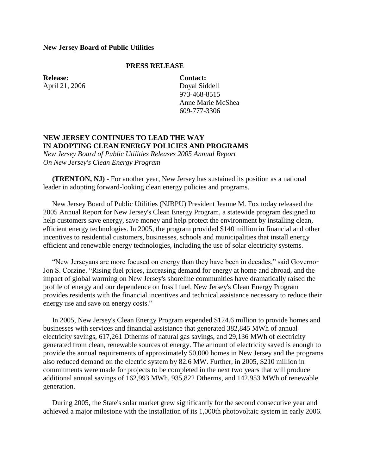## **New Jersey Board of Public Utilities**

## **PRESS RELEASE**

**Release:** April 21, 2006 **Contact:** Doyal Siddell 973-468-8515 Anne Marie McShea 609-777-3306

## **NEW JERSEY CONTINUES TO LEAD THE WAY IN ADOPTING CLEAN ENERGY POLICIES AND PROGRAMS**

*New Jersey Board of Public Utilities Releases 2005 Annual Report On New Jersey's Clean Energy Program*

 **(TRENTON, NJ)** - For another year, New Jersey has sustained its position as a national leader in adopting forward-looking clean energy policies and programs.

 New Jersey Board of Public Utilities (NJBPU) President Jeanne M. Fox today released the 2005 Annual Report for New Jersey's Clean Energy Program, a statewide program designed to help customers save energy, save money and help protect the environment by installing clean, efficient energy technologies. In 2005, the program provided \$140 million in financial and other incentives to residential customers, businesses, schools and municipalities that install energy efficient and renewable energy technologies, including the use of solar electricity systems.

 "New Jerseyans are more focused on energy than they have been in decades," said Governor Jon S. Corzine. "Rising fuel prices, increasing demand for energy at home and abroad, and the impact of global warming on New Jersey's shoreline communities have dramatically raised the profile of energy and our dependence on fossil fuel. New Jersey's Clean Energy Program provides residents with the financial incentives and technical assistance necessary to reduce their energy use and save on energy costs."

 In 2005, New Jersey's Clean Energy Program expended \$124.6 million to provide homes and businesses with services and financial assistance that generated 382,845 MWh of annual electricity savings, 617,261 Dtherms of natural gas savings, and 29,136 MWh of electricity generated from clean, renewable sources of energy. The amount of electricity saved is enough to provide the annual requirements of approximately 50,000 homes in New Jersey and the programs also reduced demand on the electric system by 82.6 MW. Further, in 2005, \$210 million in commitments were made for projects to be completed in the next two years that will produce additional annual savings of 162,993 MWh, 935,822 Dtherms, and 142,953 MWh of renewable generation.

 During 2005, the State's solar market grew significantly for the second consecutive year and achieved a major milestone with the installation of its 1,000th photovoltaic system in early 2006.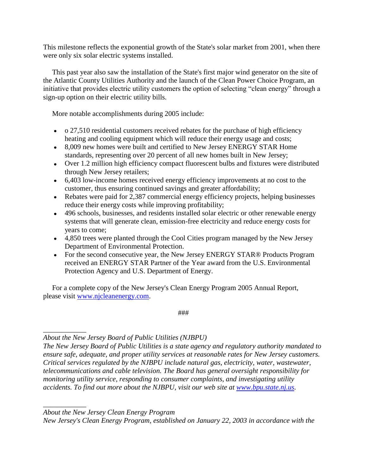This milestone reflects the exponential growth of the State's solar market from 2001, when there were only six solar electric systems installed.

 This past year also saw the installation of the State's first major wind generator on the site of the Atlantic County Utilities Authority and the launch of the Clean Power Choice Program, an initiative that provides electric utility customers the option of selecting "clean energy" through a sign-up option on their electric utility bills.

More notable accomplishments during 2005 include:

- $\bullet$  0 27,510 residential customers received rebates for the purchase of high efficiency heating and cooling equipment which will reduce their energy usage and costs;
- 8,009 new homes were built and certified to New Jersey ENERGY STAR Home standards, representing over 20 percent of all new homes built in New Jersey;
- Over 1.2 million high efficiency compact fluorescent bulbs and fixtures were distributed through New Jersey retailers;
- 6,403 low-income homes received energy efficiency improvements at no cost to the customer, thus ensuring continued savings and greater affordability;
- Rebates were paid for 2,387 commercial energy efficiency projects, helping businesses reduce their energy costs while improving profitability;
- 496 schools, businesses, and residents installed solar electric or other renewable energy systems that will generate clean, emission-free electricity and reduce energy costs for years to come;
- 4,850 trees were planted through the Cool Cities program managed by the New Jersey Department of Environmental Protection.
- For the second consecutive year, the New Jersey ENERGY STAR® Products Program received an ENERGY STAR Partner of the Year award from the U.S. Environmental Protection Agency and U.S. Department of Energy.

 For a complete copy of the New Jersey's Clean Energy Program 2005 Annual Report, please visit [www.njcleanenergy.com.](http://www.njcleanenergy.com/)

###

*About the New Jersey Board of Public Utilities (NJBPU)*

*The New Jersey Board of Public Utilities is a state agency and regulatory authority mandated to ensure safe, adequate, and proper utility services at reasonable rates for New Jersey customers. Critical services regulated by the NJBPU include natural gas, electricity, water, wastewater, telecommunications and cable television. The Board has general oversight responsibility for monitoring utility service, responding to consumer complaints, and investigating utility accidents. To find out more about the NJBPU, visit our web site at [www.bpu.state.nj.us.](http://www.bpu.state.nj.us/)* 

*\_\_\_\_\_\_\_\_\_\_\_\_ About the New Jersey Clean Energy Program*

*\_\_\_\_\_\_\_\_\_\_\_\_*

*New Jersey's Clean Energy Program, established on January 22, 2003 in accordance with the*